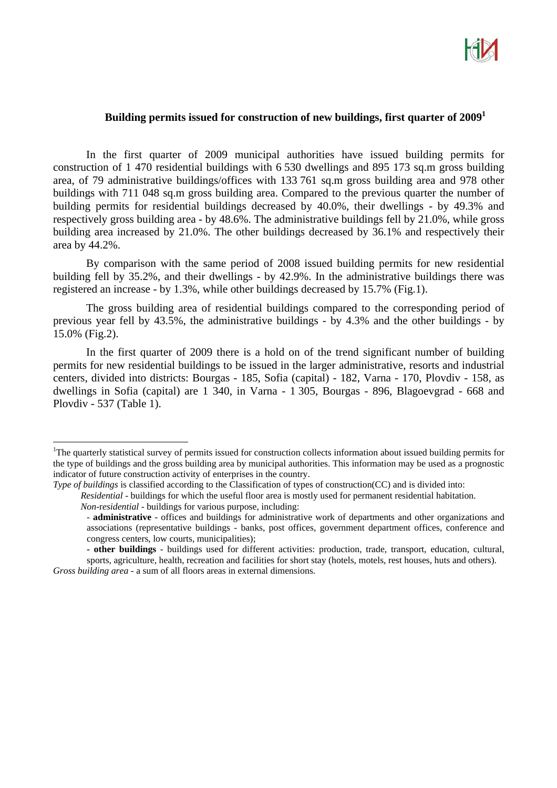## **Building permits issued for construction of new buildings, first quarter of 20091**

In the first quarter of 2009 municipal authorities have issued building permits for construction of 1 470 residential buildings with 6 530 dwellings and 895 173 sq.m gross building area, of 79 administrative buildings/offices with 133 761 sq.m gross building area and 978 other buildings with 711 048 sq.m gross building area. Compared to the previous quarter the number of building permits for residential buildings decreased by 40.0%, their dwellings - by 49.3% and respectively gross building area - by 48.6%. The administrative buildings fell by 21.0%, while gross building area increased by 21.0%. The other buildings decreased by 36.1% and respectively their area by 44.2%.

By comparison with the same period of 2008 issued building permits for new residential building fell by 35.2%, and their dwellings - by 42.9%. In the administrative buildings there was registered an increase - by 1.3%, while other buildings decreased by 15.7% (Fig.1).

The gross building area of residential buildings compared to the corresponding period of previous year fell by 43.5%, the administrative buildings - by 4.3% and the other buildings - by 15.0% (Fig.2).

In the first quarter of 2009 there is a hold on of the trend significant number of building permits for new residential buildings to be issued in the larger administrative, resorts and industrial centers, divided into districts: Bourgas - 185, Sofia (capital) - 182, Varna - 170, Plovdiv - 158, as dwellings in Sofia (capital) are 1 340, in Varna - 1 305, Bourgas - 896, Blagoevgrad - 668 and Plovdiv - 537 (Table 1).

 *Non*-r*esidential -* buildings for various purpose, including:

 $\overline{a}$ 

<sup>&</sup>lt;sup>1</sup>The quarterly statistical survey of permits issued for construction collects information about issued building permits for the type of buildings and the gross building area by municipal authorities. This information may be used as a prognostic indicator of future construction activity of enterprises in the country.

*Type of buildings* is classified according to the Classification of types of construction(CC) and is divided into:

*Residential* - buildings for which the useful floor area is mostly used for permanent residential habitation.

<sup>-</sup> **administrative** - offices and buildings for administrative work of departments and other organizations and associations (representative buildings - banks, post offices, government department offices, conference and congress centers, low courts, municipalities);

**<sup>-</sup> other buildings** - buildings used for different activities: production, trade, transport, education, cultural, sports, agriculture, health, recreation and facilities for short stay (hotels, motels, rest houses, huts and others).

*Gross building area* - a sum of all floors areas in external dimensions.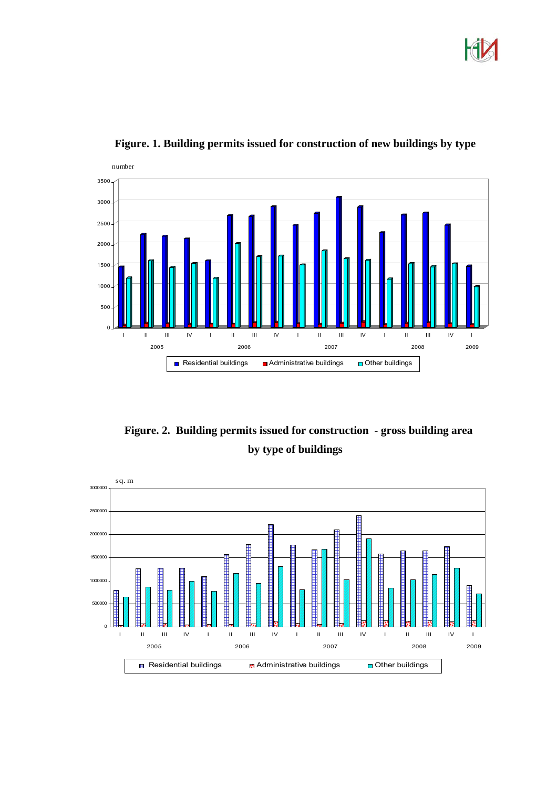



**Figure. 1. Building permits issued for construction of new buildings by type**

 **Figure. 2. Building permits issued for construction - gross building area by type of buildings**